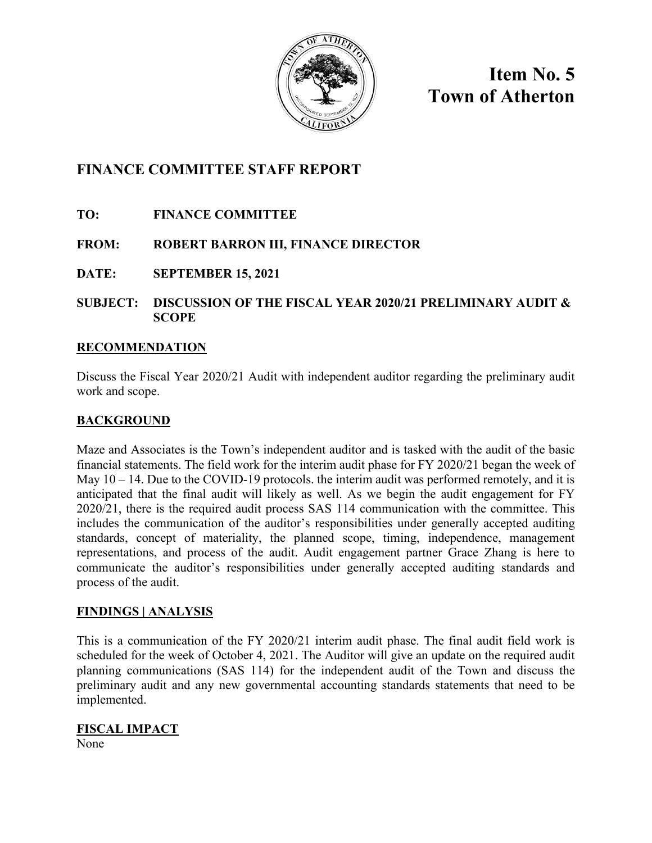

**Item No. 5 Town of Atherton**

# **FINANCE COMMITTEE STAFF REPORT**

- **TO: FINANCE COMMITTEE**
- **FROM: ROBERT BARRON III, FINANCE DIRECTOR**
- **DATE: SEPTEMBER 15, 2021**
- **SUBJECT: DISCUSSION OF THE FISCAL YEAR 2020/21 PRELIMINARY AUDIT & SCOPE**

## **RECOMMENDATION**

Discuss the Fiscal Year 2020/21 Audit with independent auditor regarding the preliminary audit work and scope.

## **BACKGROUND**

Maze and Associates is the Town's independent auditor and is tasked with the audit of the basic financial statements. The field work for the interim audit phase for FY 2020/21 began the week of May  $10 - 14$ . Due to the COVID-19 protocols. the interim audit was performed remotely, and it is anticipated that the final audit will likely as well. As we begin the audit engagement for FY 2020/21, there is the required audit process SAS 114 communication with the committee. This includes the communication of the auditor's responsibilities under generally accepted auditing standards, concept of materiality, the planned scope, timing, independence, management representations, and process of the audit. Audit engagement partner Grace Zhang is here to communicate the auditor's responsibilities under generally accepted auditing standards and process of the audit.

#### **FINDINGS | ANALYSIS**

This is a communication of the FY 2020/21 interim audit phase. The final audit field work is scheduled for the week of October 4, 2021. The Auditor will give an update on the required audit planning communications (SAS 114) for the independent audit of the Town and discuss the preliminary audit and any new governmental accounting standards statements that need to be implemented.

## **FISCAL IMPACT**

None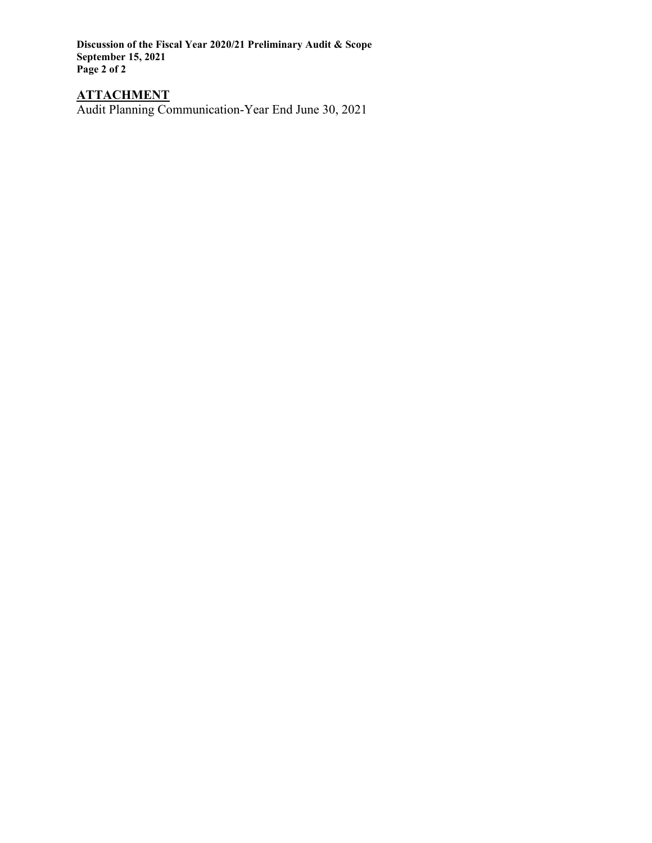**Discussion of the Fiscal Year 2020/21 Preliminary Audit & Scope September 15, 2021 Page 2 of 2**

#### **ATTACHMENT**

Audit Planning Communication-Year End June 30, 2021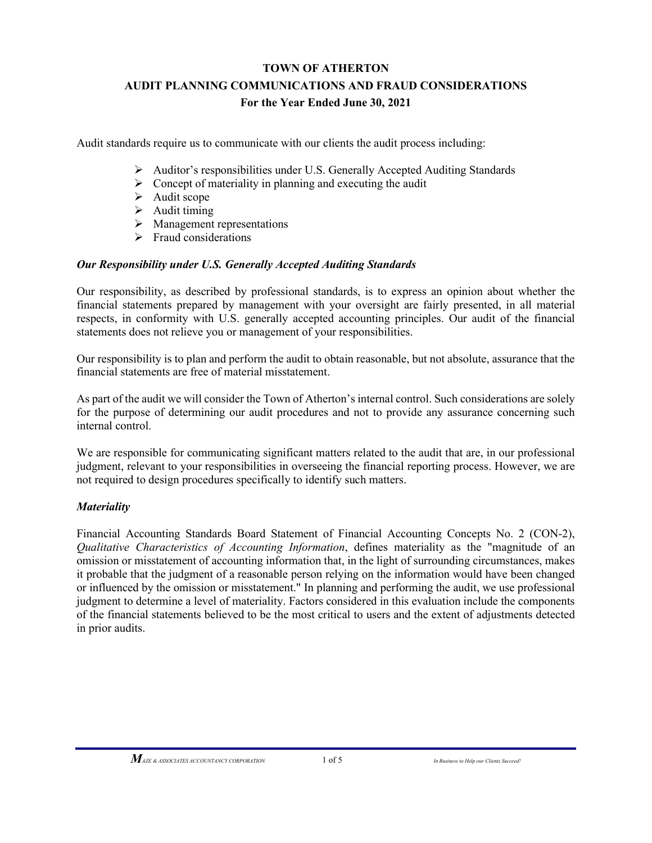# **TOWN OF ATHERTON AUDIT PLANNING COMMUNICATIONS AND FRAUD CONSIDERATIONS For the Year Ended June 30, 2021**

Audit standards require us to communicate with our clients the audit process including:

- Auditor's responsibilities under U.S. Generally Accepted Auditing Standards
- $\triangleright$  Concept of materiality in planning and executing the audit
- $\blacktriangleright$  Audit scope
- $\blacktriangleright$  Audit timing
- $\triangleright$  Management representations
- $\triangleright$  Fraud considerations

### *Our Responsibility under U.S. Generally Accepted Auditing Standards*

Our responsibility, as described by professional standards, is to express an opinion about whether the financial statements prepared by management with your oversight are fairly presented, in all material respects, in conformity with U.S. generally accepted accounting principles. Our audit of the financial statements does not relieve you or management of your responsibilities.

Our responsibility is to plan and perform the audit to obtain reasonable, but not absolute, assurance that the financial statements are free of material misstatement.

As part of the audit we will consider the Town of Atherton's internal control. Such considerations are solely for the purpose of determining our audit procedures and not to provide any assurance concerning such internal control.

We are responsible for communicating significant matters related to the audit that are, in our professional judgment, relevant to your responsibilities in overseeing the financial reporting process. However, we are not required to design procedures specifically to identify such matters.

#### *Materiality*

Financial Accounting Standards Board Statement of Financial Accounting Concepts No. 2 (CON-2), *Qualitative Characteristics of Accounting Information*, defines materiality as the "magnitude of an omission or misstatement of accounting information that, in the light of surrounding circumstances, makes it probable that the judgment of a reasonable person relying on the information would have been changed or influenced by the omission or misstatement." In planning and performing the audit, we use professional judgment to determine a level of materiality. Factors considered in this evaluation include the components of the financial statements believed to be the most critical to users and the extent of adjustments detected in prior audits.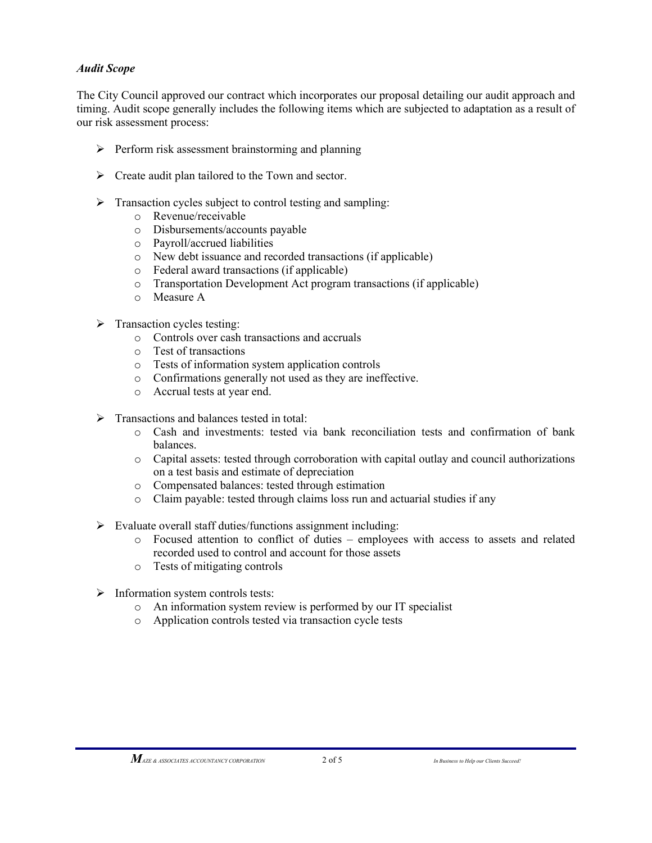### *Audit Scope*

The City Council approved our contract which incorporates our proposal detailing our audit approach and timing. Audit scope generally includes the following items which are subjected to adaptation as a result of our risk assessment process:

- $\triangleright$  Perform risk assessment brainstorming and planning
- > Create audit plan tailored to the Town and sector.
- $\triangleright$  Transaction cycles subject to control testing and sampling:
	- o Revenue/receivable
	- o Disbursements/accounts payable
	- o Payroll/accrued liabilities
	- o New debt issuance and recorded transactions (if applicable)
	- o Federal award transactions (if applicable)
	- o Transportation Development Act program transactions (if applicable)
	- o Measure A
- $\triangleright$  Transaction cycles testing:
	- o Controls over cash transactions and accruals
	- o Test of transactions
	- o Tests of information system application controls
	- o Confirmations generally not used as they are ineffective.
	- o Accrual tests at year end.
- $\triangleright$  Transactions and balances tested in total:
	- o Cash and investments: tested via bank reconciliation tests and confirmation of bank balances.
	- o Capital assets: tested through corroboration with capital outlay and council authorizations on a test basis and estimate of depreciation
	- o Compensated balances: tested through estimation
	- Claim payable: tested through claims loss run and actuarial studies if any
- $\triangleright$  Evaluate overall staff duties/functions assignment including:
	- o Focused attention to conflict of duties employees with access to assets and related recorded used to control and account for those assets
	- o Tests of mitigating controls
- $\triangleright$  Information system controls tests:
	- o An information system review is performed by our IT specialist
	- o Application controls tested via transaction cycle tests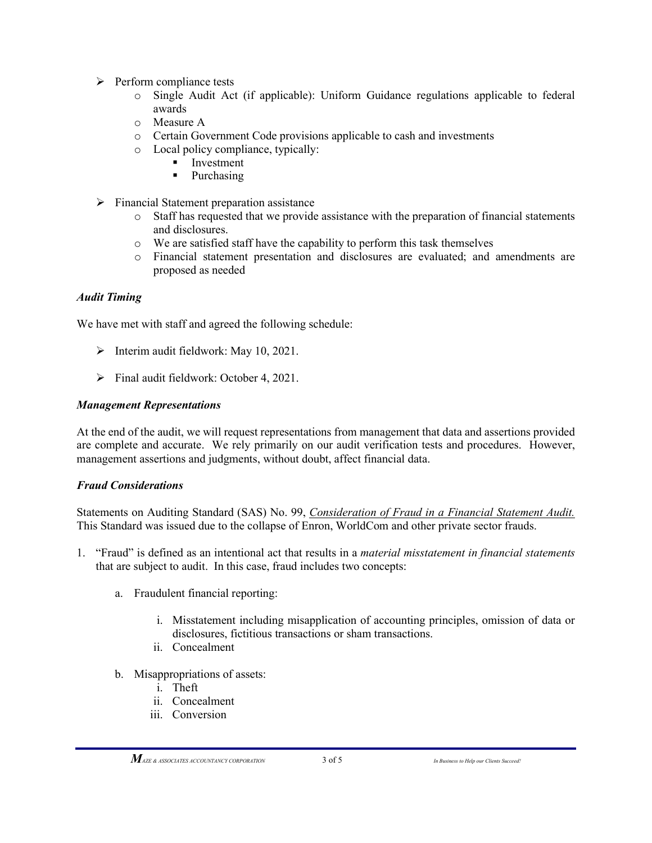- $\triangleright$  Perform compliance tests
	- o Single Audit Act (if applicable): Uniform Guidance regulations applicable to federal awards
	- o Measure A
	- o Certain Government Code provisions applicable to cash and investments
	- o Local policy compliance, typically:
		- $\blacksquare$  Investment<br> $\blacksquare$  Purchasing
		- Purchasing
- $\triangleright$  Financial Statement preparation assistance
	- o Staff has requested that we provide assistance with the preparation of financial statements and disclosures.
	- o We are satisfied staff have the capability to perform this task themselves
	- o Financial statement presentation and disclosures are evaluated; and amendments are proposed as needed

### *Audit Timing*

We have met with staff and agreed the following schedule:

- $\triangleright$  Interim audit fieldwork: May 10, 2021.
- $\triangleright$  Final audit fieldwork: October 4, 2021.

#### *Management Representations*

At the end of the audit, we will request representations from management that data and assertions provided are complete and accurate. We rely primarily on our audit verification tests and procedures. However, management assertions and judgments, without doubt, affect financial data.

#### *Fraud Considerations*

Statements on Auditing Standard (SAS) No. 99, *Consideration of Fraud in a Financial Statement Audit.* This Standard was issued due to the collapse of Enron, WorldCom and other private sector frauds.

- 1. "Fraud" is defined as an intentional act that results in a *material misstatement in financial statements* that are subject to audit. In this case, fraud includes two concepts:
	- a. Fraudulent financial reporting:
		- i. Misstatement including misapplication of accounting principles, omission of data or disclosures, fictitious transactions or sham transactions.
		- ii. Concealment
	- b. Misappropriations of assets:
		- i. Theft
		- ii. Concealment
		- iii. Conversion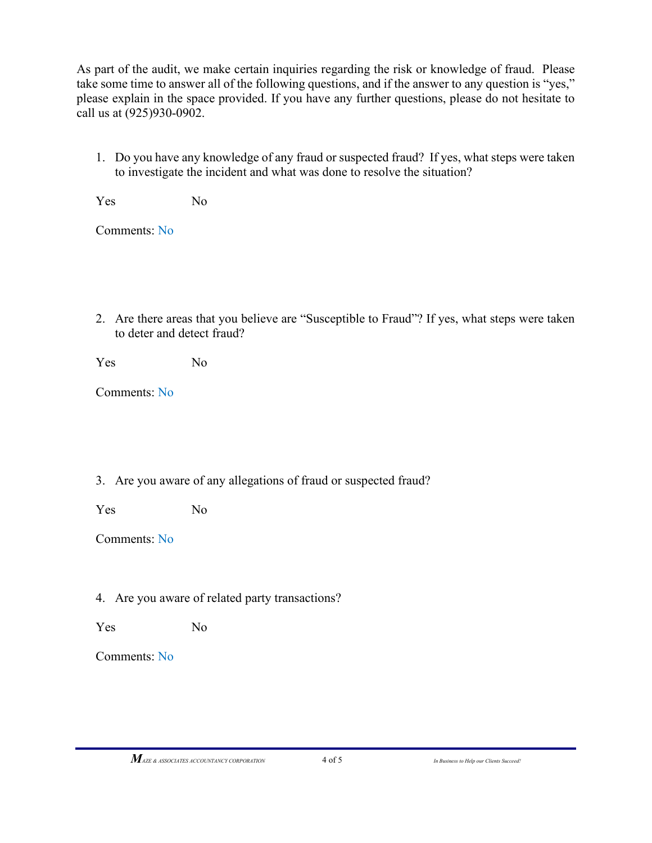As part of the audit, we make certain inquiries regarding the risk or knowledge of fraud. Please take some time to answer all of the following questions, and if the answer to any question is "yes," please explain in the space provided. If you have any further questions, please do not hesitate to call us at (925)930-0902.

1. Do you have any knowledge of any fraud or suspected fraud? If yes, what steps were taken to investigate the incident and what was done to resolve the situation?

Yes No

Comments: No

2. Are there areas that you believe are "Susceptible to Fraud"? If yes, what steps were taken to deter and detect fraud?

Yes No

Comments: No

## 3. Are you aware of any allegations of fraud or suspected fraud?

Yes No

Comments: No

## 4. Are you aware of related party transactions?

Yes No

Comments: No